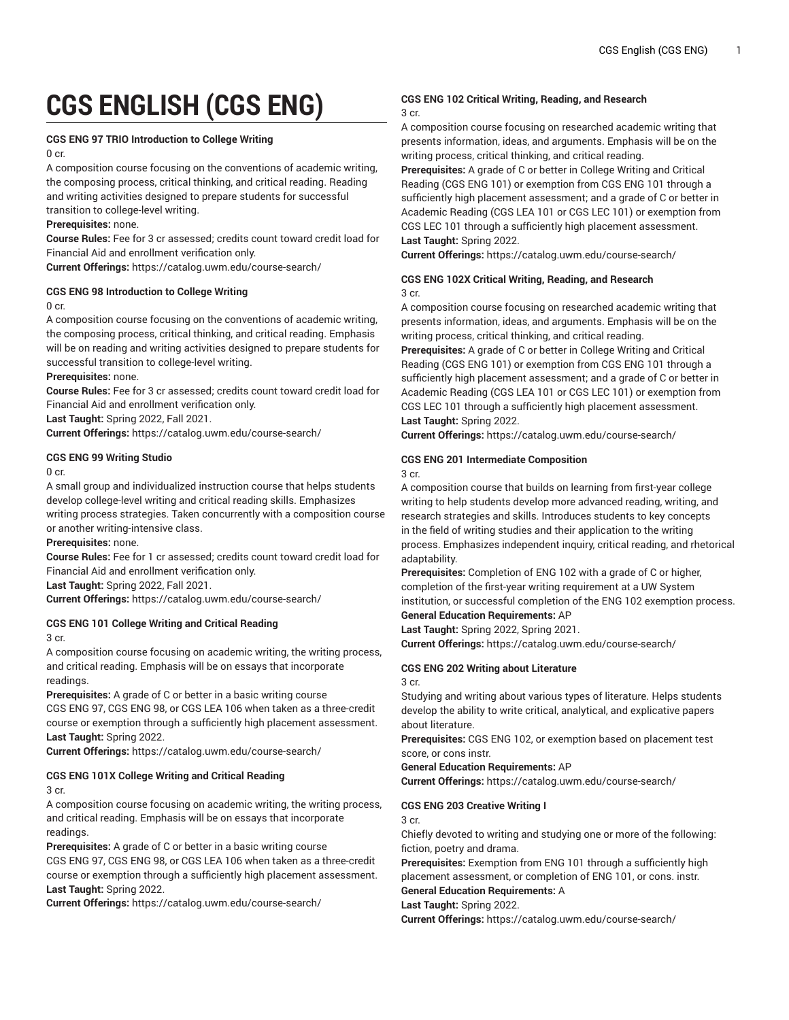# **CGS ENGLISH (CGS ENG)**

#### **CGS ENG 97 TRIO Introduction to College Writing**

 $0$  cr.

A composition course focusing on the conventions of academic writing, the composing process, critical thinking, and critical reading. Reading and writing activities designed to prepare students for successful transition to college-level writing.

**Prerequisites:** none.

**Course Rules:** Fee for 3 cr assessed; credits count toward credit load for Financial Aid and enrollment verification only.

**Current Offerings:** <https://catalog.uwm.edu/course-search/>

#### **CGS ENG 98 Introduction to College Writing**

0 cr.

A composition course focusing on the conventions of academic writing, the composing process, critical thinking, and critical reading. Emphasis will be on reading and writing activities designed to prepare students for successful transition to college-level writing.

#### **Prerequisites:** none.

**Course Rules:** Fee for 3 cr assessed; credits count toward credit load for Financial Aid and enrollment verification only.

**Last Taught:** Spring 2022, Fall 2021.

**Current Offerings:** <https://catalog.uwm.edu/course-search/>

#### **CGS ENG 99 Writing Studio**

0 cr.

A small group and individualized instruction course that helps students develop college-level writing and critical reading skills. Emphasizes writing process strategies. Taken concurrently with a composition course or another writing-intensive class.

**Prerequisites:** none.

**Course Rules:** Fee for 1 cr assessed; credits count toward credit load for Financial Aid and enrollment verification only.

**Last Taught:** Spring 2022, Fall 2021.

**Current Offerings:** <https://catalog.uwm.edu/course-search/>

#### **CGS ENG 101 College Writing and Critical Reading** 3 cr.

A composition course focusing on academic writing, the writing process, and critical reading. Emphasis will be on essays that incorporate readings.

**Prerequisites:** A grade of C or better in a basic writing course CGS ENG 97, CGS ENG 98, or CGS LEA 106 when taken as a three-credit course or exemption through a sufficiently high placement assessment. **Last Taught:** Spring 2022.

**Current Offerings:** <https://catalog.uwm.edu/course-search/>

## **CGS ENG 101X College Writing and Critical Reading**

3 cr.

A composition course focusing on academic writing, the writing process, and critical reading. Emphasis will be on essays that incorporate readings.

**Prerequisites:** A grade of C or better in a basic writing course CGS ENG 97, CGS ENG 98, or CGS LEA 106 when taken as a three-credit course or exemption through a sufficiently high placement assessment. **Last Taught:** Spring 2022.

**Current Offerings:** <https://catalog.uwm.edu/course-search/>

#### **CGS ENG 102 Critical Writing, Reading, and Research** 3 cr.

A composition course focusing on researched academic writing that presents information, ideas, and arguments. Emphasis will be on the writing process, critical thinking, and critical reading.

**Prerequisites:** A grade of C or better in College Writing and Critical Reading (CGS ENG 101) or exemption from CGS ENG 101 through a sufficiently high placement assessment; and a grade of C or better in Academic Reading (CGS LEA 101 or CGS LEC 101) or exemption from CGS LEC 101 through a sufficiently high placement assessment. **Last Taught:** Spring 2022.

**Current Offerings:** <https://catalog.uwm.edu/course-search/>

#### **CGS ENG 102X Critical Writing, Reading, and Research** 3 cr.

A composition course focusing on researched academic writing that presents information, ideas, and arguments. Emphasis will be on the writing process, critical thinking, and critical reading.

**Prerequisites:** A grade of C or better in College Writing and Critical Reading (CGS ENG 101) or exemption from CGS ENG 101 through a sufficiently high placement assessment; and a grade of C or better in Academic Reading (CGS LEA 101 or CGS LEC 101) or exemption from CGS LEC 101 through a sufficiently high placement assessment. **Last Taught:** Spring 2022.

**Current Offerings:** <https://catalog.uwm.edu/course-search/>

## **CGS ENG 201 Intermediate Composition**

3 cr.

A composition course that builds on learning from first-year college writing to help students develop more advanced reading, writing, and research strategies and skills. Introduces students to key concepts in the field of writing studies and their application to the writing process. Emphasizes independent inquiry, critical reading, and rhetorical adaptability.

**Prerequisites:** Completion of ENG 102 with a grade of C or higher, completion of the first-year writing requirement at a UW System institution, or successful completion of the ENG 102 exemption process. **General Education Requirements:** AP

## **Last Taught:** Spring 2022, Spring 2021.

**Current Offerings:** <https://catalog.uwm.edu/course-search/>

**CGS ENG 202 Writing about Literature**

3 cr.

Studying and writing about various types of literature. Helps students develop the ability to write critical, analytical, and explicative papers about literature.

**Prerequisites:** CGS ENG 102, or exemption based on placement test score, or cons instr.

**General Education Requirements:** AP

**Current Offerings:** <https://catalog.uwm.edu/course-search/>

#### **CGS ENG 203 Creative Writing I**

3 cr.

Chiefly devoted to writing and studying one or more of the following: fiction, poetry and drama.

**Prerequisites:** Exemption from ENG 101 through a sufficiently high placement assessment, or completion of ENG 101, or cons. instr.

**General Education Requirements:** A

**Last Taught:** Spring 2022.

**Current Offerings:** <https://catalog.uwm.edu/course-search/>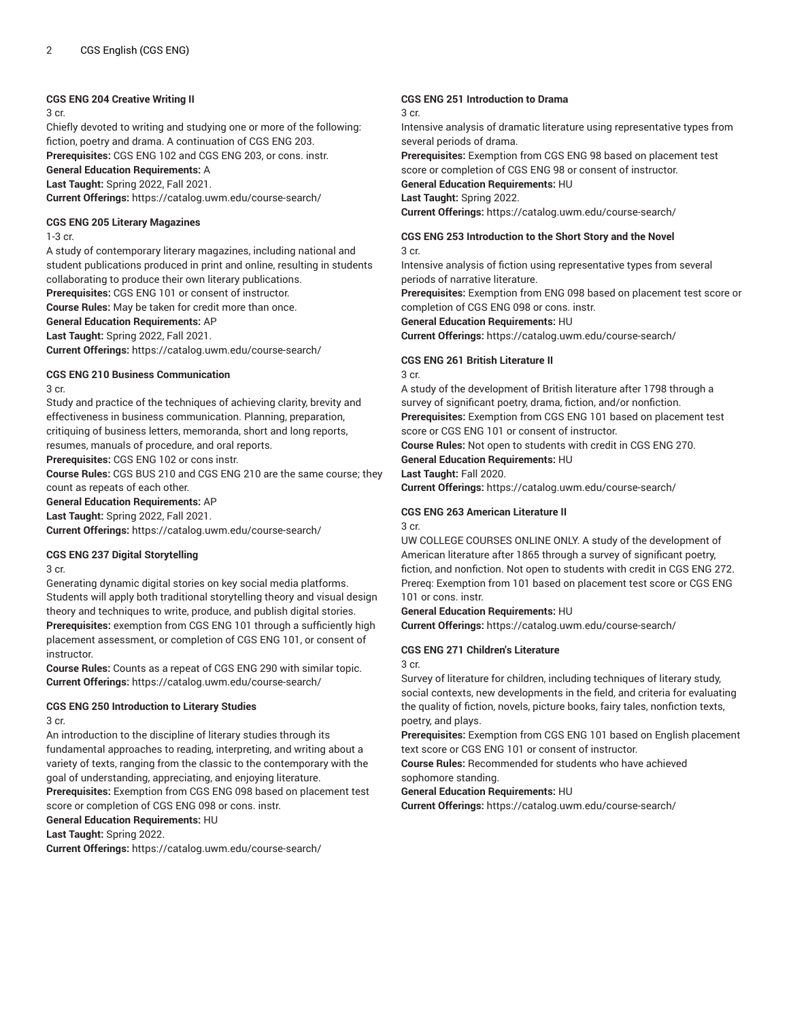#### **CGS ENG 204 Creative Writing II**

3 cr.

Chiefly devoted to writing and studying one or more of the following: fiction, poetry and drama. A continuation of CGS ENG 203. **Prerequisites:** CGS ENG 102 and CGS ENG 203, or cons. instr. **General Education Requirements:** A **Last Taught:** Spring 2022, Fall 2021. **Current Offerings:** <https://catalog.uwm.edu/course-search/>

#### **CGS ENG 205 Literary Magazines**

#### 1-3 cr.

A study of contemporary literary magazines, including national and student publications produced in print and online, resulting in students collaborating to produce their own literary publications.

**Prerequisites:** CGS ENG 101 or consent of instructor. **Course Rules:** May be taken for credit more than once.

**General Education Requirements:** AP

## **Last Taught:** Spring 2022, Fall 2021.

**Current Offerings:** <https://catalog.uwm.edu/course-search/>

#### **CGS ENG 210 Business Communication**

3 cr.

Study and practice of the techniques of achieving clarity, brevity and effectiveness in business communication. Planning, preparation, critiquing of business letters, memoranda, short and long reports, resumes, manuals of procedure, and oral reports.

**Prerequisites:** CGS ENG 102 or cons instr.

**Course Rules:** CGS BUS 210 and CGS ENG 210 are the same course; they count as repeats of each other.

## **General Education Requirements:** AP

**Last Taught:** Spring 2022, Fall 2021.

**Current Offerings:** <https://catalog.uwm.edu/course-search/>

#### **CGS ENG 237 Digital Storytelling**

3 cr.

Generating dynamic digital stories on key social media platforms. Students will apply both traditional storytelling theory and visual design theory and techniques to write, produce, and publish digital stories. **Prerequisites:** exemption from CGS ENG 101 through a sufficiently high placement assessment, or completion of CGS ENG 101, or consent of instructor.

**Course Rules:** Counts as a repeat of CGS ENG 290 with similar topic. **Current Offerings:** <https://catalog.uwm.edu/course-search/>

## **CGS ENG 250 Introduction to Literary Studies**

3 cr.

An introduction to the discipline of literary studies through its fundamental approaches to reading, interpreting, and writing about a variety of texts, ranging from the classic to the contemporary with the goal of understanding, appreciating, and enjoying literature. **Prerequisites:** Exemption from CGS ENG 098 based on placement test

score or completion of CGS ENG 098 or cons. instr.

**General Education Requirements:** HU

**Last Taught:** Spring 2022.

**Current Offerings:** <https://catalog.uwm.edu/course-search/>

#### **CGS ENG 251 Introduction to Drama**

#### 3 cr.

Intensive analysis of dramatic literature using representative types from several periods of drama.

**Prerequisites:** Exemption from CGS ENG 98 based on placement test score or completion of CGS ENG 98 or consent of instructor. **General Education Requirements:** HU

**Last Taught:** Spring 2022.

**Current Offerings:** <https://catalog.uwm.edu/course-search/>

## **CGS ENG 253 Introduction to the Short Story and the Novel**

3 cr.

Intensive analysis of fiction using representative types from several periods of narrative literature.

**Prerequisites:** Exemption from ENG 098 based on placement test score or completion of CGS ENG 098 or cons. instr.

**General Education Requirements:** HU

**Current Offerings:** <https://catalog.uwm.edu/course-search/>

## **CGS ENG 261 British Literature II**

3 cr.

A study of the development of British literature after 1798 through a survey of significant poetry, drama, fiction, and/or nonfiction.

**Prerequisites:** Exemption from CGS ENG 101 based on placement test score or CGS ENG 101 or consent of instructor.

**Course Rules:** Not open to students with credit in CGS ENG 270.

## **General Education Requirements:** HU

**Last Taught:** Fall 2020.

**Current Offerings:** <https://catalog.uwm.edu/course-search/>

#### **CGS ENG 263 American Literature II**

3 cr.

UW COLLEGE COURSES ONLINE ONLY. A study of the development of American literature after 1865 through a survey of significant poetry, fiction, and nonfiction. Not open to students with credit in CGS ENG 272. Prereq: Exemption from 101 based on placement test score or CGS ENG 101 or cons. instr.

#### **General Education Requirements:** HU

**Current Offerings:** <https://catalog.uwm.edu/course-search/>

#### **CGS ENG 271 Children's Literature**

3 cr.

Survey of literature for children, including techniques of literary study, social contexts, new developments in the field, and criteria for evaluating the quality of fiction, novels, picture books, fairy tales, nonfiction texts, poetry, and plays.

**Prerequisites:** Exemption from CGS ENG 101 based on English placement text score or CGS ENG 101 or consent of instructor.

**Course Rules:** Recommended for students who have achieved sophomore standing.

#### **General Education Requirements:** HU

**Current Offerings:** <https://catalog.uwm.edu/course-search/>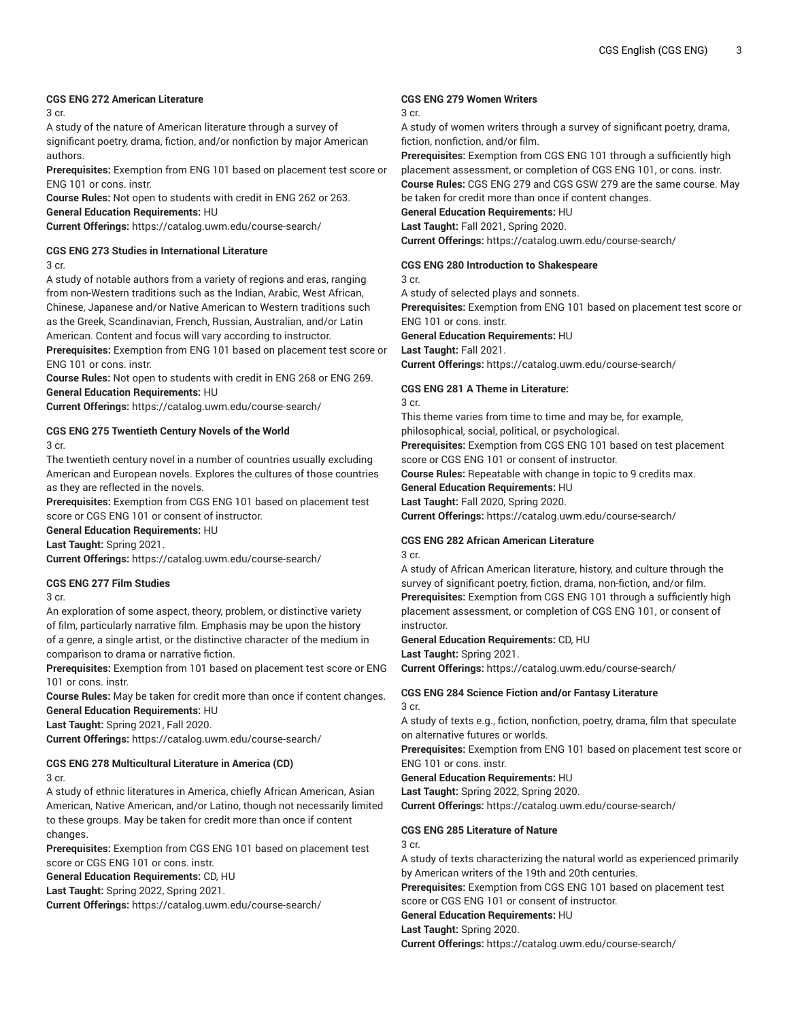## **CGS ENG 272 American Literature**

3 cr.

A study of the nature of American literature through a survey of significant poetry, drama, fiction, and/or nonfiction by major American authors.

**Prerequisites:** Exemption from ENG 101 based on placement test score or ENG 101 or cons. instr.

**Course Rules:** Not open to students with credit in ENG 262 or 263. **General Education Requirements:** HU

**Current Offerings:** <https://catalog.uwm.edu/course-search/>

## **CGS ENG 273 Studies in International Literature**

3 cr.

A study of notable authors from a variety of regions and eras, ranging from non-Western traditions such as the Indian, Arabic, West African, Chinese, Japanese and/or Native American to Western traditions such as the Greek, Scandinavian, French, Russian, Australian, and/or Latin American. Content and focus will vary according to instructor.

**Prerequisites:** Exemption from ENG 101 based on placement test score or ENG 101 or cons. instr.

**Course Rules:** Not open to students with credit in ENG 268 or ENG 269. **General Education Requirements:** HU

**Current Offerings:** <https://catalog.uwm.edu/course-search/>

## **CGS ENG 275 Twentieth Century Novels of the World**

3 cr.

The twentieth century novel in a number of countries usually excluding American and European novels. Explores the cultures of those countries as they are reflected in the novels.

**Prerequisites:** Exemption from CGS ENG 101 based on placement test score or CGS ENG 101 or consent of instructor.

**General Education Requirements:** HU

**Last Taught:** Spring 2021.

**Current Offerings:** <https://catalog.uwm.edu/course-search/>

#### **CGS ENG 277 Film Studies**

3 cr.

An exploration of some aspect, theory, problem, or distinctive variety of film, particularly narrative film. Emphasis may be upon the history of a genre, a single artist, or the distinctive character of the medium in comparison to drama or narrative fiction.

**Prerequisites:** Exemption from 101 based on placement test score or ENG 101 or cons. instr.

**Course Rules:** May be taken for credit more than once if content changes. **General Education Requirements:** HU

**Last Taught:** Spring 2021, Fall 2020.

**Current Offerings:** <https://catalog.uwm.edu/course-search/>

# **CGS ENG 278 Multicultural Literature in America (CD)**

3 cr.

A study of ethnic literatures in America, chiefly African American, Asian American, Native American, and/or Latino, though not necessarily limited to these groups. May be taken for credit more than once if content changes.

**Prerequisites:** Exemption from CGS ENG 101 based on placement test score or CGS ENG 101 or cons. instr.

**General Education Requirements:** CD, HU

**Last Taught:** Spring 2022, Spring 2021.

**Current Offerings:** <https://catalog.uwm.edu/course-search/>

#### **CGS ENG 279 Women Writers**

#### 3 cr.

A study of women writers through a survey of significant poetry, drama, fiction, nonfiction, and/or film.

**Prerequisites:** Exemption from CGS ENG 101 through a sufficiently high placement assessment, or completion of CGS ENG 101, or cons. instr. **Course Rules:** CGS ENG 279 and CGS GSW 279 are the same course. May

be taken for credit more than once if content changes.

**General Education Requirements:** HU **Last Taught:** Fall 2021, Spring 2020.

**Current Offerings:** <https://catalog.uwm.edu/course-search/>

#### **CGS ENG 280 Introduction to Shakespeare**

3 cr.

A study of selected plays and sonnets.

**Prerequisites:** Exemption from ENG 101 based on placement test score or ENG 101 or cons. instr.

**General Education Requirements:** HU

**Last Taught:** Fall 2021.

**Current Offerings:** <https://catalog.uwm.edu/course-search/>

#### **CGS ENG 281 A Theme in Literature:**

3 cr.

This theme varies from time to time and may be, for example, philosophical, social, political, or psychological.

**Prerequisites:** Exemption from CGS ENG 101 based on test placement score or CGS ENG 101 or consent of instructor.

**Course Rules:** Repeatable with change in topic to 9 credits max.

**General Education Requirements:** HU

**Last Taught:** Fall 2020, Spring 2020.

**Current Offerings:** <https://catalog.uwm.edu/course-search/>

#### **CGS ENG 282 African American Literature**

3 cr.

A study of African American literature, history, and culture through the survey of significant poetry, fiction, drama, non-fiction, and/or film. **Prerequisites:** Exemption from CGS ENG 101 through a sufficiently high placement assessment, or completion of CGS ENG 101, or consent of instructor.

**General Education Requirements:** CD, HU

**Last Taught:** Spring 2021.

**Current Offerings:** <https://catalog.uwm.edu/course-search/>

#### **CGS ENG 284 Science Fiction and/or Fantasy Literature** 3 cr.

A study of texts e.g., fiction, nonfiction, poetry, drama, film that speculate on alternative futures or worlds.

**Prerequisites:** Exemption from ENG 101 based on placement test score or ENG 101 or cons. instr.

**General Education Requirements:** HU

**Last Taught:** Spring 2022, Spring 2020. **Current Offerings:** <https://catalog.uwm.edu/course-search/>

**CGS ENG 285 Literature of Nature**

3 cr.

A study of texts characterizing the natural world as experienced primarily by American writers of the 19th and 20th centuries.

**Prerequisites:** Exemption from CGS ENG 101 based on placement test score or CGS ENG 101 or consent of instructor.

**General Education Requirements:** HU

## **Last Taught:** Spring 2020.

**Current Offerings:** <https://catalog.uwm.edu/course-search/>